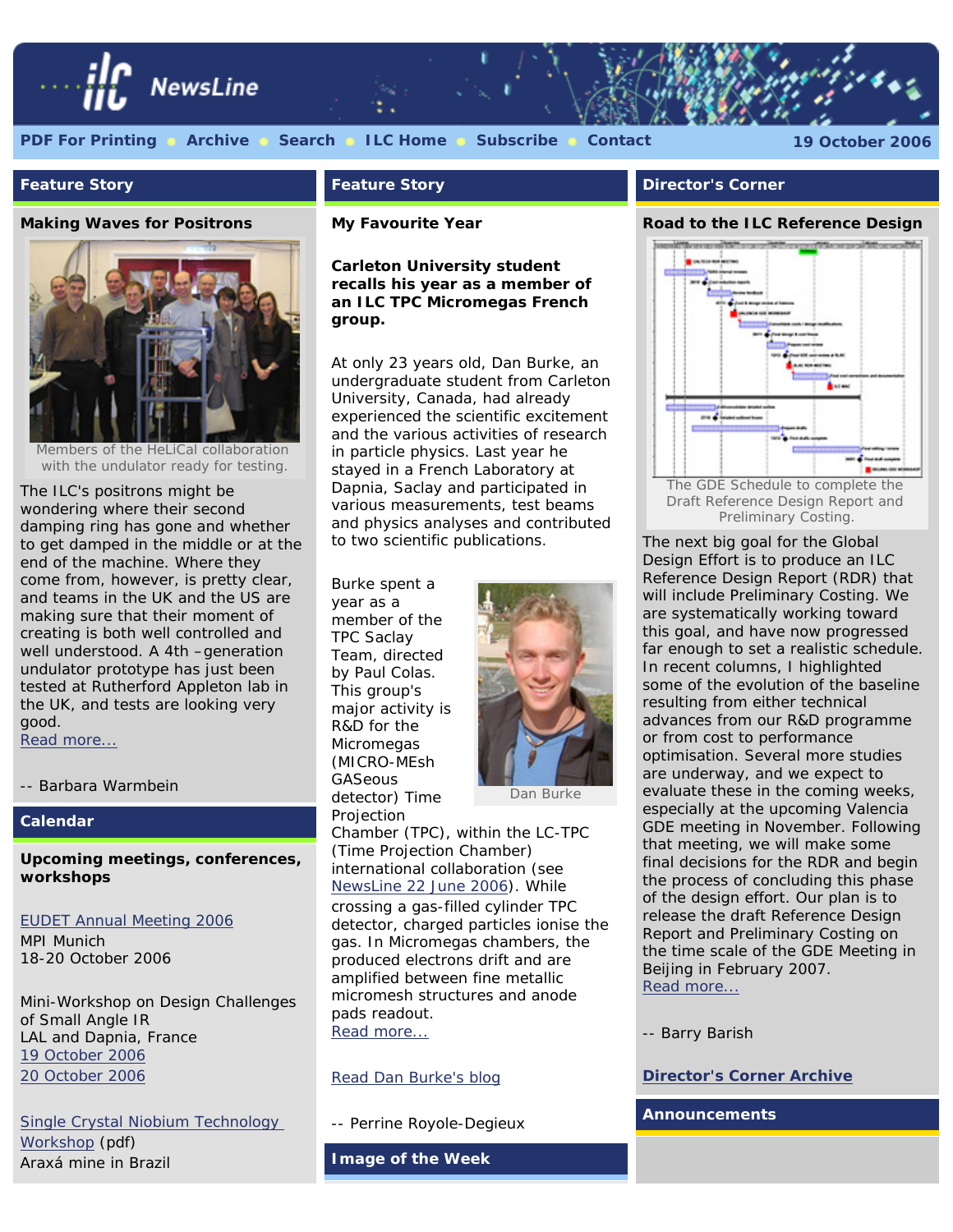

#### **Feature Story**

#### **Making Waves for Positrons**



Members of the HeLiCal collaboration with the undulator ready for testing.

The ILC's positrons might be wondering where their second damping ring has gone and whether to get damped in the middle or at the end of the machine. Where they come from, however, is pretty clear, and teams in the UK and the US are making sure that their moment of creating is both well controlled and well understood. A 4th –generation undulator prototype has just been tested at Rutherford Appleton lab in the UK, and tests are looking very good. [Read more...](http://www.linearcollider.org/newsline/readmore_20061019_feature2.html)

*-- Barbara Warmbein*

#### **Calendar**

#### **Upcoming meetings, conferences, workshops**

#### [EUDET Annual Meeting 2006](http://www.eudet.org/AnnualMeeting2006/AnnualMeeting2006.html)

MPI Munich 18-20 October 2006

Mini-Workshop on Design Challenges of Small Angle IR LAL and Dapnia, France [19 October 2006](http://ilcagenda.cern.ch/conferenceDisplay.py?confId=1150) [20 October 2006](http://ilcagenda.cern.ch/conferenceDisplay.py?confId=1149)

[Single Crystal Niobium Technology](http://www.linearcollider.org/pdf/20061030_Single_Crystal_Workshop.pdf) [Workshop](http://www.linearcollider.org/pdf/20061030_Single_Crystal_Workshop.pdf) (pdf) Araxá mine in Brazil

#### **Feature Story**

#### **My Favourite Year**

*Carleton University student recalls his year as a member of an ILC TPC Micromegas French group.*

At only 23 years old, Dan Burke, an undergraduate student from Carleton University, Canada, had already experienced the scientific excitement and the various activities of research in particle physics. Last year he stayed in a French Laboratory at Dapnia, Saclay and participated in various measurements, test beams and physics analyses and contributed to two scientific publications.

Burke spent a year as a member of the TPC Saclay Team, directed by Paul Colas. This group's major activity is R&D for the Micromegas (MICRO-MEsh GASeous detector) Time Projection



Dan Burke

Chamber (TPC), within the LC-TPC (Time Projection Chamber) international collaboration (see [NewsLine 22 June 2006\)](http://www.linearcollider.org/newsline/readmore_20060622_feature1.html). While crossing a gas-filled cylinder TPC detector, charged particles ionise the gas. In Micromegas chambers, the produced electrons drift and are amplified between fine metallic micromesh structures and anode pads readout. [Read more...](http://www.linearcollider.org/newsline/readmore_20061019_feature1.html)

#### [Read Dan Burke's blog](http://www-dapnia.cea.fr/Spp/ILC-TPC/DBurke-Blog/blog.html)

*-- Perrine Royole-Degieux*

**Image of the Week**

#### **Director's Corner**

#### **Road to the ILC Reference Design**



Preliminary Costing.

The next big goal for the Global Design Effort is to produce an ILC Reference Design Report (RDR) that will include Preliminary Costing. We are systematically working toward this goal, and have now progressed far enough to set a realistic schedule. In recent columns, I highlighted some of the evolution of the baseline resulting from either technical advances from our R&D programme or from cost to performance optimisation. Several more studies are underway, and we expect to evaluate these in the coming weeks, especially at the upcoming Valencia GDE meeting in November. Following that meeting, we will make some final decisions for the RDR and begin the process of concluding this phase of the design effort. Our plan is to release the draft Reference Design Report and Preliminary Costing on the time scale of the GDE Meeting in Beijing in February 2007. [Read more...](http://www.linearcollider.org/cms/?pid=1000337)

*-- Barry Barish*

#### **[Director's Corner Archive](http://www.linearcollider.org/cms/?pid=1000026)**

**Announcements**